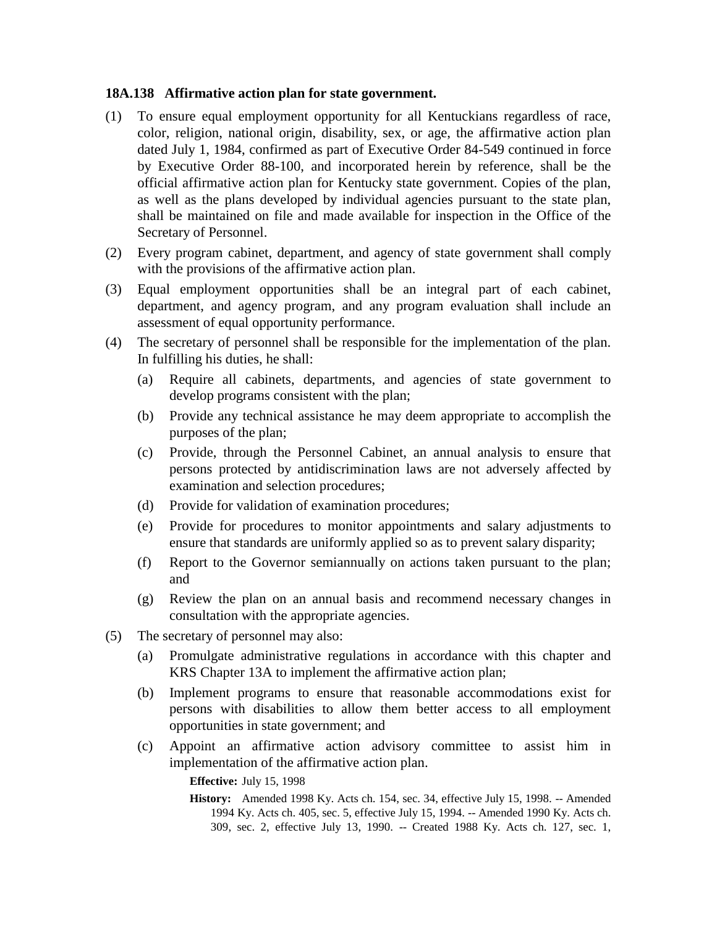## **18A.138 Affirmative action plan for state government.**

- (1) To ensure equal employment opportunity for all Kentuckians regardless of race, color, religion, national origin, disability, sex, or age, the affirmative action plan dated July 1, 1984, confirmed as part of Executive Order 84-549 continued in force by Executive Order 88-100, and incorporated herein by reference, shall be the official affirmative action plan for Kentucky state government. Copies of the plan, as well as the plans developed by individual agencies pursuant to the state plan, shall be maintained on file and made available for inspection in the Office of the Secretary of Personnel.
- (2) Every program cabinet, department, and agency of state government shall comply with the provisions of the affirmative action plan.
- (3) Equal employment opportunities shall be an integral part of each cabinet, department, and agency program, and any program evaluation shall include an assessment of equal opportunity performance.
- (4) The secretary of personnel shall be responsible for the implementation of the plan. In fulfilling his duties, he shall:
	- (a) Require all cabinets, departments, and agencies of state government to develop programs consistent with the plan;
	- (b) Provide any technical assistance he may deem appropriate to accomplish the purposes of the plan;
	- (c) Provide, through the Personnel Cabinet, an annual analysis to ensure that persons protected by antidiscrimination laws are not adversely affected by examination and selection procedures;
	- (d) Provide for validation of examination procedures;
	- (e) Provide for procedures to monitor appointments and salary adjustments to ensure that standards are uniformly applied so as to prevent salary disparity;
	- (f) Report to the Governor semiannually on actions taken pursuant to the plan; and
	- (g) Review the plan on an annual basis and recommend necessary changes in consultation with the appropriate agencies.
- (5) The secretary of personnel may also:
	- (a) Promulgate administrative regulations in accordance with this chapter and KRS Chapter 13A to implement the affirmative action plan;
	- (b) Implement programs to ensure that reasonable accommodations exist for persons with disabilities to allow them better access to all employment opportunities in state government; and
	- (c) Appoint an affirmative action advisory committee to assist him in implementation of the affirmative action plan.

**Effective:** July 15, 1998

**History:** Amended 1998 Ky. Acts ch. 154, sec. 34, effective July 15, 1998. -- Amended 1994 Ky. Acts ch. 405, sec. 5, effective July 15, 1994. -- Amended 1990 Ky. Acts ch. 309, sec. 2, effective July 13, 1990. -- Created 1988 Ky. Acts ch. 127, sec. 1,